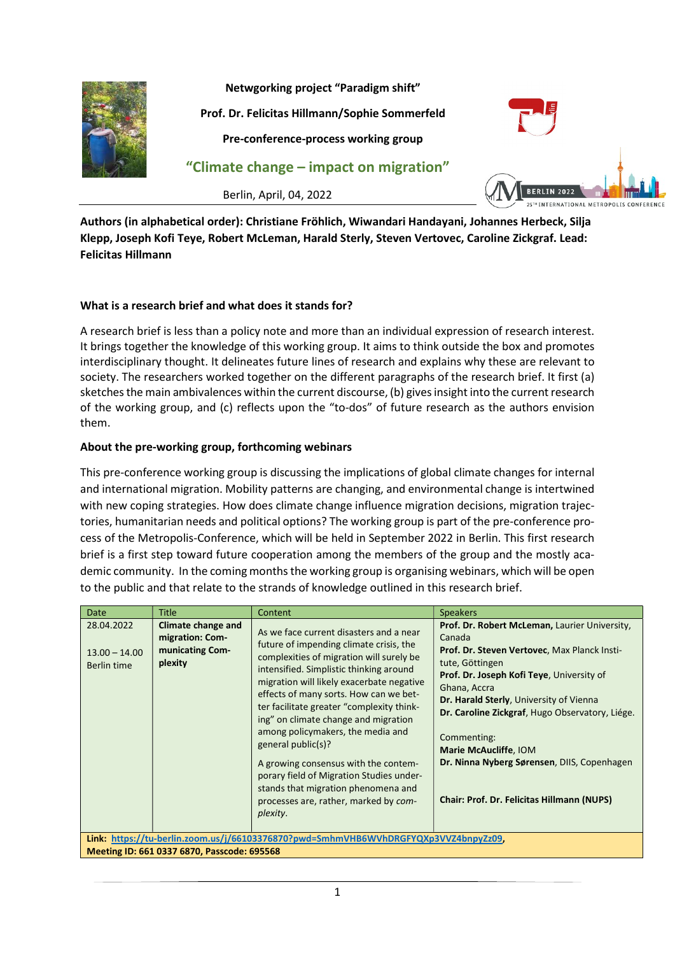

Netwgorking project "Paradigm shift"

Prof. Dr. Felicitas Hillmann/Sophie Sommerfeld

Pre-conference-process working group

"Climate change – impact on migration"

Berlin, April, 04, 2022



Authors (in alphabetical order): Christiane Fröhlich, Wiwandari Handayani, Johannes Herbeck, Silja Klepp, Joseph Kofi Teye, Robert McLeman, Harald Sterly, Steven Vertovec, Caroline Zickgraf. Lead: Felicitas Hillmann

### What is a research brief and what does it stands for?

A research brief is less than a policy note and more than an individual expression of research interest. It brings together the knowledge of this working group. It aims to think outside the box and promotes interdisciplinary thought. It delineates future lines of research and explains why these are relevant to society. The researchers worked together on the different paragraphs of the research brief. It first (a) sketches the main ambivalences within the current discourse, (b) gives insight into the current research of the working group, and (c) reflects upon the "to-dos" of future research as the authors envision them.

### About the pre-working group, forthcoming webinars

This pre-conference working group is discussing the implications of global climate changes for internal and international migration. Mobility patterns are changing, and environmental change is intertwined with new coping strategies. How does climate change influence migration decisions, migration trajectories, humanitarian needs and political options? The working group is part of the pre-conference process of the Metropolis-Conference, which will be held in September 2022 in Berlin. This first research brief is a first step toward future cooperation among the members of the group and the mostly academic community. In the coming months the working group is organising webinars, which will be open to the public and that relate to the strands of knowledge outlined in this research brief.

| <b>Date</b>                                                                                                                        | <b>Title</b>                                                        | Content                                                                                                                                                                                                                                                                                                                                                                                                                                                                                                                                                                                          | <b>Speakers</b>                                                                                                                                                                                                                                                                                                                                                                                                                          |  |  |
|------------------------------------------------------------------------------------------------------------------------------------|---------------------------------------------------------------------|--------------------------------------------------------------------------------------------------------------------------------------------------------------------------------------------------------------------------------------------------------------------------------------------------------------------------------------------------------------------------------------------------------------------------------------------------------------------------------------------------------------------------------------------------------------------------------------------------|------------------------------------------------------------------------------------------------------------------------------------------------------------------------------------------------------------------------------------------------------------------------------------------------------------------------------------------------------------------------------------------------------------------------------------------|--|--|
| 28.04.2022<br>$13.00 - 14.00$<br>Berlin time                                                                                       | Climate change and<br>migration: Com-<br>municating Com-<br>plexity | As we face current disasters and a near<br>future of impending climate crisis, the<br>complexities of migration will surely be<br>intensified. Simplistic thinking around<br>migration will likely exacerbate negative<br>effects of many sorts. How can we bet-<br>ter facilitate greater "complexity think-<br>ing" on climate change and migration<br>among policymakers, the media and<br>general public(s)?<br>A growing consensus with the contem-<br>porary field of Migration Studies under-<br>stands that migration phenomena and<br>processes are, rather, marked by com-<br>plexity. | Prof. Dr. Robert McLeman, Laurier University,<br>Canada<br>Prof. Dr. Steven Vertovec, Max Planck Insti-<br>tute, Göttingen<br><b>Prof. Dr. Joseph Kofi Teye, University of</b><br>Ghana, Accra<br>Dr. Harald Sterly, University of Vienna<br>Dr. Caroline Zickgraf, Hugo Observatory, Liége.<br>Commenting:<br>Marie McAucliffe, IOM<br>Dr. Ninna Nyberg Sørensen, DIIS, Copenhagen<br><b>Chair: Prof. Dr. Felicitas Hillmann (NUPS)</b> |  |  |
| Link: https://tu-berlin.zoom.us/j/66103376870?pwd=SmhmVHB6WVhDRGFYQXp3VVZ4bnpyZz09,<br>Meeting ID: 661 0337 6870, Passcode: 695568 |                                                                     |                                                                                                                                                                                                                                                                                                                                                                                                                                                                                                                                                                                                  |                                                                                                                                                                                                                                                                                                                                                                                                                                          |  |  |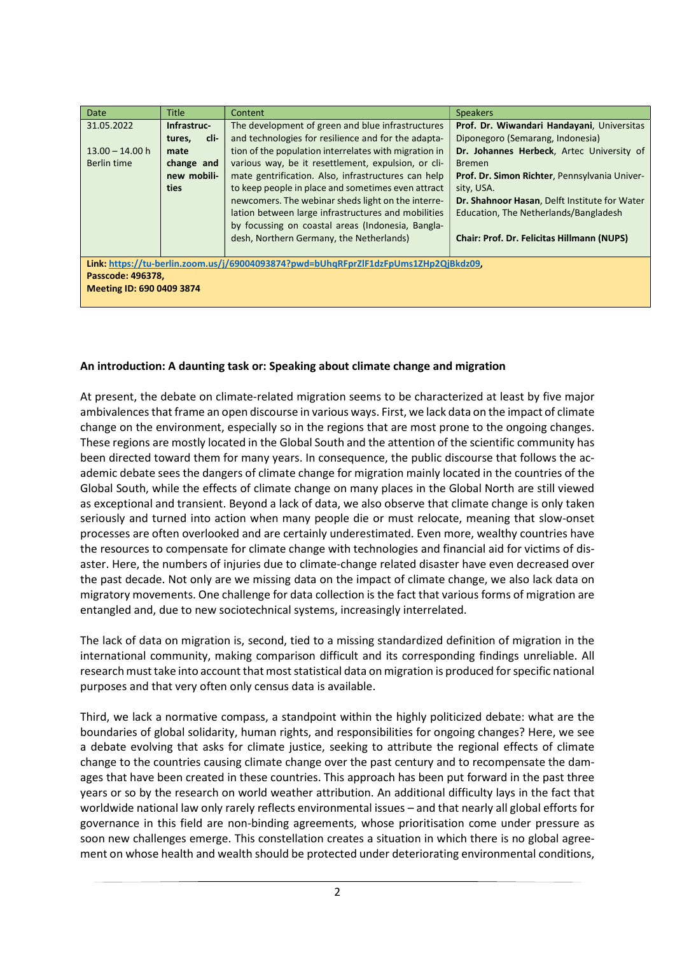| Date                                                                                | <b>Title</b>   | Content                                               | <b>Speakers</b>                                   |  |  |
|-------------------------------------------------------------------------------------|----------------|-------------------------------------------------------|---------------------------------------------------|--|--|
| 31.05.2022                                                                          | Infrastruc-    | The development of green and blue infrastructures     | Prof. Dr. Wiwandari Handayani, Universitas        |  |  |
|                                                                                     | cli-<br>tures, | and technologies for resilience and for the adapta-   | Diponegoro (Semarang, Indonesia)                  |  |  |
| $13.00 - 14.00 h$                                                                   | mate           | tion of the population interrelates with migration in | Dr. Johannes Herbeck, Artec University of         |  |  |
| Berlin time                                                                         | change and     | various way, be it resettlement, expulsion, or cli-   | <b>Bremen</b>                                     |  |  |
|                                                                                     | new mobili-    | mate gentrification. Also, infrastructures can help   | Prof. Dr. Simon Richter, Pennsylvania Univer-     |  |  |
|                                                                                     | ties           | to keep people in place and sometimes even attract    | sity, USA.                                        |  |  |
|                                                                                     |                | newcomers. The webinar sheds light on the interre-    | Dr. Shahnoor Hasan, Delft Institute for Water     |  |  |
|                                                                                     |                | lation between large infrastructures and mobilities   | Education, The Netherlands/Bangladesh             |  |  |
|                                                                                     |                | by focussing on coastal areas (Indonesia, Bangla-     |                                                   |  |  |
|                                                                                     |                | desh, Northern Germany, the Netherlands)              | <b>Chair: Prof. Dr. Felicitas Hillmann (NUPS)</b> |  |  |
|                                                                                     |                |                                                       |                                                   |  |  |
| Link: https://tu-berlin.zoom.us/j/69004093874?pwd=bUhgRFprZlF1dzFpUms1ZHp2QjBkdz09. |                |                                                       |                                                   |  |  |
| Passcode: 496378,                                                                   |                |                                                       |                                                   |  |  |
| Meeting ID: 690 0409 3874                                                           |                |                                                       |                                                   |  |  |

#### An introduction: A daunting task or: Speaking about climate change and migration

At present, the debate on climate-related migration seems to be characterized at least by five major ambivalences that frame an open discourse in various ways. First, we lack data on the impact of climate change on the environment, especially so in the regions that are most prone to the ongoing changes. These regions are mostly located in the Global South and the attention of the scientific community has been directed toward them for many years. In consequence, the public discourse that follows the academic debate sees the dangers of climate change for migration mainly located in the countries of the Global South, while the effects of climate change on many places in the Global North are still viewed as exceptional and transient. Beyond a lack of data, we also observe that climate change is only taken seriously and turned into action when many people die or must relocate, meaning that slow-onset processes are often overlooked and are certainly underestimated. Even more, wealthy countries have the resources to compensate for climate change with technologies and financial aid for victims of disaster. Here, the numbers of injuries due to climate-change related disaster have even decreased over the past decade. Not only are we missing data on the impact of climate change, we also lack data on migratory movements. One challenge for data collection is the fact that various forms of migration are entangled and, due to new sociotechnical systems, increasingly interrelated.

The lack of data on migration is, second, tied to a missing standardized definition of migration in the international community, making comparison difficult and its corresponding findings unreliable. All research must take into account that most statistical data on migration is produced for specific national purposes and that very often only census data is available.

Third, we lack a normative compass, a standpoint within the highly politicized debate: what are the boundaries of global solidarity, human rights, and responsibilities for ongoing changes? Here, we see a debate evolving that asks for climate justice, seeking to attribute the regional effects of climate change to the countries causing climate change over the past century and to recompensate the damages that have been created in these countries. This approach has been put forward in the past three years or so by the research on world weather attribution. An additional difficulty lays in the fact that worldwide national law only rarely reflects environmental issues – and that nearly all global efforts for governance in this field are non-binding agreements, whose prioritisation come under pressure as soon new challenges emerge. This constellation creates a situation in which there is no global agreement on whose health and wealth should be protected under deteriorating environmental conditions,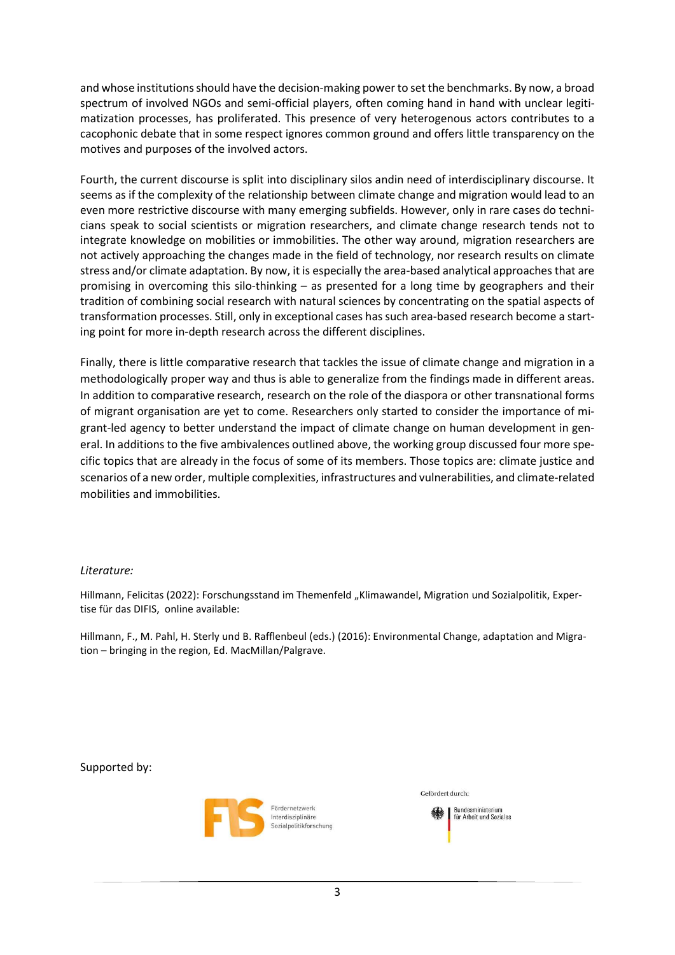and whose institutions should have the decision-making power to set the benchmarks. By now, a broad spectrum of involved NGOs and semi-official players, often coming hand in hand with unclear legitimatization processes, has proliferated. This presence of very heterogenous actors contributes to a cacophonic debate that in some respect ignores common ground and offers little transparency on the motives and purposes of the involved actors.

Fourth, the current discourse is split into disciplinary silos andin need of interdisciplinary discourse. It seems as if the complexity of the relationship between climate change and migration would lead to an even more restrictive discourse with many emerging subfields. However, only in rare cases do technicians speak to social scientists or migration researchers, and climate change research tends not to integrate knowledge on mobilities or immobilities. The other way around, migration researchers are not actively approaching the changes made in the field of technology, nor research results on climate stress and/or climate adaptation. By now, it is especially the area-based analytical approaches that are promising in overcoming this silo-thinking – as presented for a long time by geographers and their tradition of combining social research with natural sciences by concentrating on the spatial aspects of transformation processes. Still, only in exceptional cases has such area-based research become a starting point for more in-depth research across the different disciplines.

Finally, there is little comparative research that tackles the issue of climate change and migration in a methodologically proper way and thus is able to generalize from the findings made in different areas. In addition to comparative research, research on the role of the diaspora or other transnational forms of migrant organisation are yet to come. Researchers only started to consider the importance of migrant-led agency to better understand the impact of climate change on human development in general. In additions to the five ambivalences outlined above, the working group discussed four more specific topics that are already in the focus of some of its members. Those topics are: climate justice and scenarios of a new order, multiple complexities, infrastructures and vulnerabilities, and climate-related mobilities and immobilities.

### Literature:

Hillmann, Felicitas (2022): Forschungsstand im Themenfeld "Klimawandel, Migration und Sozialpolitik, Expertise für das DIFIS, online available:

Hillmann, F., M. Pahl, H. Sterly und B. Rafflenbeul (eds.) (2016): Environmental Change, adaptation and Migration – bringing in the region, Ed. MacMillan/Palgrave.

Supported by:



Bundesministerium für Arheit und Soziales

Gefördert durch: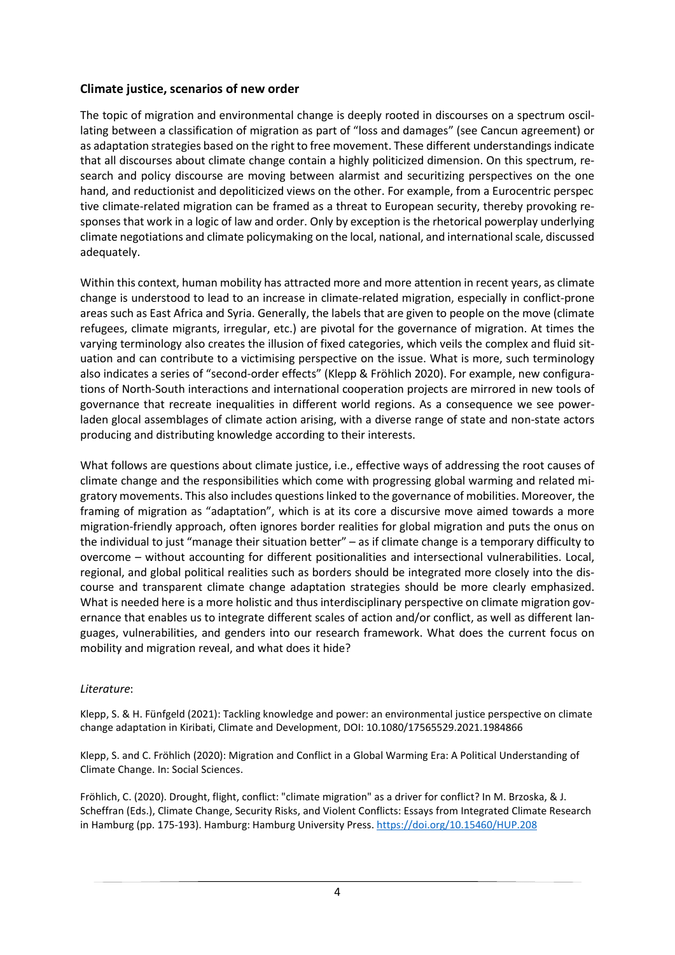## Climate justice, scenarios of new order

The topic of migration and environmental change is deeply rooted in discourses on a spectrum oscillating between a classification of migration as part of "loss and damages" (see Cancun agreement) or as adaptation strategies based on the right to free movement. These different understandings indicate that all discourses about climate change contain a highly politicized dimension. On this spectrum, research and policy discourse are moving between alarmist and securitizing perspectives on the one hand, and reductionist and depoliticized views on the other. For example, from a Eurocentric perspec tive climate-related migration can be framed as a threat to European security, thereby provoking responses that work in a logic of law and order. Only by exception is the rhetorical powerplay underlying climate negotiations and climate policymaking on the local, national, and international scale, discussed adequately.

Within this context, human mobility has attracted more and more attention in recent years, as climate change is understood to lead to an increase in climate-related migration, especially in conflict-prone areas such as East Africa and Syria. Generally, the labels that are given to people on the move (climate refugees, climate migrants, irregular, etc.) are pivotal for the governance of migration. At times the varying terminology also creates the illusion of fixed categories, which veils the complex and fluid situation and can contribute to a victimising perspective on the issue. What is more, such terminology also indicates a series of "second-order effects" (Klepp & Fröhlich 2020). For example, new configurations of North-South interactions and international cooperation projects are mirrored in new tools of governance that recreate inequalities in different world regions. As a consequence we see powerladen glocal assemblages of climate action arising, with a diverse range of state and non-state actors producing and distributing knowledge according to their interests.

What follows are questions about climate justice, i.e., effective ways of addressing the root causes of climate change and the responsibilities which come with progressing global warming and related migratory movements. This also includes questions linked to the governance of mobilities. Moreover, the framing of migration as "adaptation", which is at its core a discursive move aimed towards a more migration-friendly approach, often ignores border realities for global migration and puts the onus on the individual to just "manage their situation better" – as if climate change is a temporary difficulty to overcome – without accounting for different positionalities and intersectional vulnerabilities. Local, regional, and global political realities such as borders should be integrated more closely into the discourse and transparent climate change adaptation strategies should be more clearly emphasized. What is needed here is a more holistic and thus interdisciplinary perspective on climate migration governance that enables us to integrate different scales of action and/or conflict, as well as different languages, vulnerabilities, and genders into our research framework. What does the current focus on mobility and migration reveal, and what does it hide?

## Literature:

Klepp, S. & H. Fünfgeld (2021): Tackling knowledge and power: an environmental justice perspective on climate change adaptation in Kiribati, Climate and Development, DOI: 10.1080/17565529.2021.1984866

Klepp, S. and C. Fröhlich (2020): Migration and Conflict in a Global Warming Era: A Political Understanding of Climate Change. In: Social Sciences.

Fröhlich, C. (2020). Drought, flight, conflict: "climate migration" as a driver for conflict? In M. Brzoska, & J. Scheffran (Eds.), Climate Change, Security Risks, and Violent Conflicts: Essays from Integrated Climate Research in Hamburg (pp. 175-193). Hamburg: Hamburg University Press. https://doi.org/10.15460/HUP.208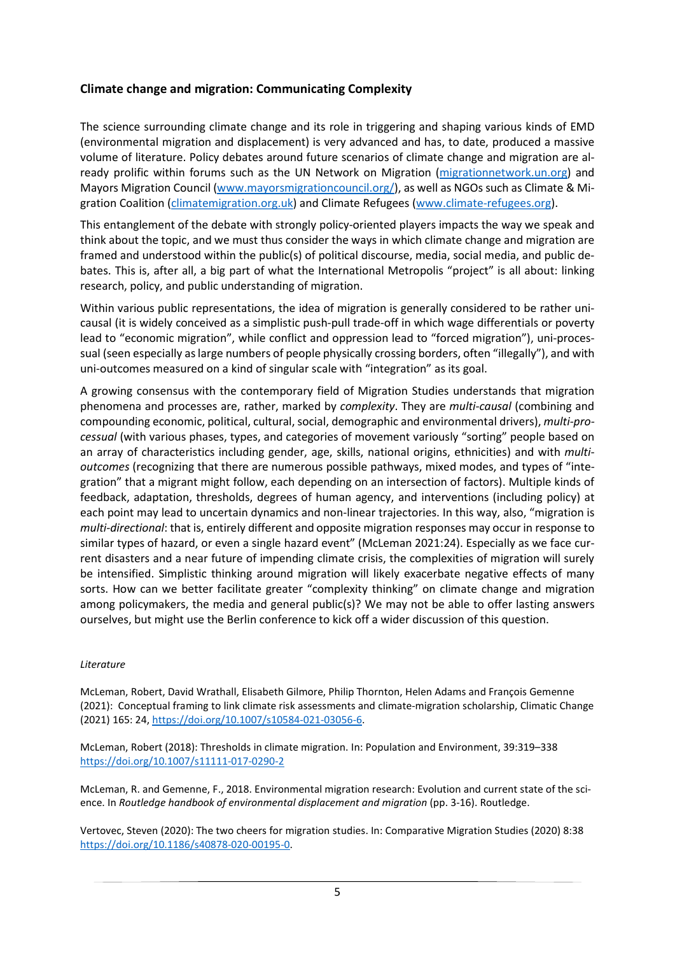## Climate change and migration: Communicating Complexity

The science surrounding climate change and its role in triggering and shaping various kinds of EMD (environmental migration and displacement) is very advanced and has, to date, produced a massive volume of literature. Policy debates around future scenarios of climate change and migration are already prolific within forums such as the UN Network on Migration (migrationnetwork.un.org) and Mayors Migration Council (www.mayorsmigrationcouncil.org/), as well as NGOs such as Climate & Migration Coalition (climatemigration.org.uk) and Climate Refugees (www.climate-refugees.org).

This entanglement of the debate with strongly policy-oriented players impacts the way we speak and think about the topic, and we must thus consider the ways in which climate change and migration are framed and understood within the public(s) of political discourse, media, social media, and public debates. This is, after all, a big part of what the International Metropolis "project" is all about: linking research, policy, and public understanding of migration.

Within various public representations, the idea of migration is generally considered to be rather unicausal (it is widely conceived as a simplistic push-pull trade-off in which wage differentials or poverty lead to "economic migration", while conflict and oppression lead to "forced migration"), uni-processual (seen especially as large numbers of people physically crossing borders, often "illegally"), and with uni-outcomes measured on a kind of singular scale with "integration" as its goal.

A growing consensus with the contemporary field of Migration Studies understands that migration phenomena and processes are, rather, marked by *complexity*. They are *multi-causal* (combining and compounding economic, political, cultural, social, demographic and environmental drivers), multi-processual (with various phases, types, and categories of movement variously "sorting" people based on an array of characteristics including gender, age, skills, national origins, ethnicities) and with multioutcomes (recognizing that there are numerous possible pathways, mixed modes, and types of "integration" that a migrant might follow, each depending on an intersection of factors). Multiple kinds of feedback, adaptation, thresholds, degrees of human agency, and interventions (including policy) at each point may lead to uncertain dynamics and non-linear trajectories. In this way, also, "migration is multi-directional: that is, entirely different and opposite migration responses may occur in response to similar types of hazard, or even a single hazard event" (McLeman 2021:24). Especially as we face current disasters and a near future of impending climate crisis, the complexities of migration will surely be intensified. Simplistic thinking around migration will likely exacerbate negative effects of many sorts. How can we better facilitate greater "complexity thinking" on climate change and migration among policymakers, the media and general public(s)? We may not be able to offer lasting answers ourselves, but might use the Berlin conference to kick off a wider discussion of this question.

#### Literature

McLeman, Robert, David Wrathall, Elisabeth Gilmore, Philip Thornton, Helen Adams and François Gemenne (2021): Conceptual framing to link climate risk assessments and climate-migration scholarship, Climatic Change (2021) 165: 24, https://doi.org/10.1007/s10584-021-03056-6.

McLeman, Robert (2018): Thresholds in climate migration. In: Population and Environment, 39:319–338 https://doi.org/10.1007/s11111-017-0290-2

McLeman, R. and Gemenne, F., 2018. Environmental migration research: Evolution and current state of the science. In Routledge handbook of environmental displacement and migration (pp. 3-16). Routledge.

Vertovec, Steven (2020): The two cheers for migration studies. In: Comparative Migration Studies (2020) 8:38 https://doi.org/10.1186/s40878-020-00195-0.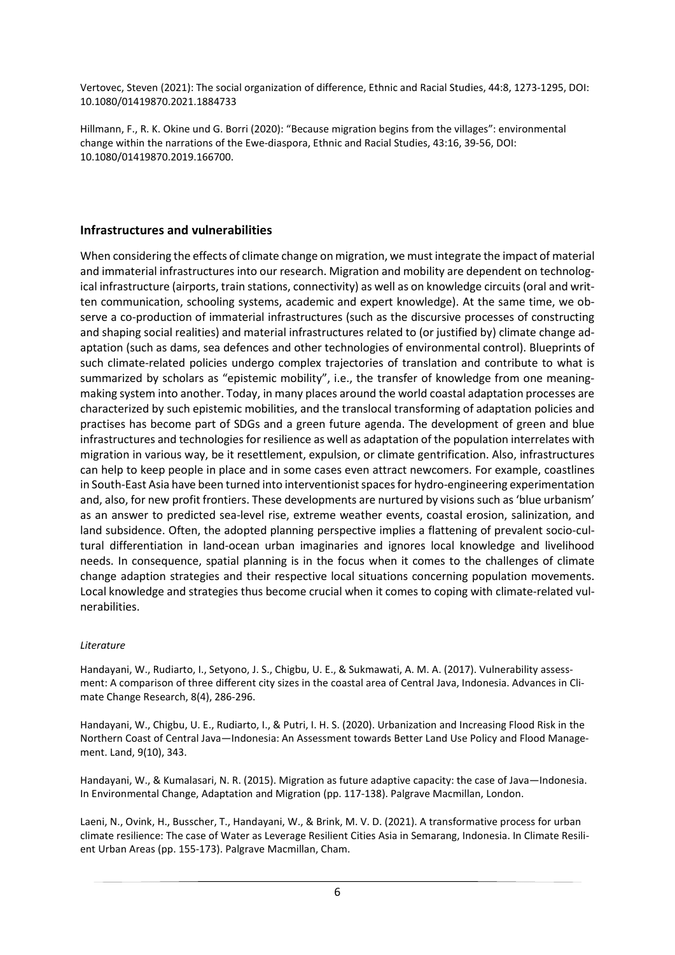Vertovec, Steven (2021): The social organization of difference, Ethnic and Racial Studies, 44:8, 1273-1295, DOI: 10.1080/01419870.2021.1884733

Hillmann, F., R. K. Okine und G. Borri (2020): "Because migration begins from the villages": environmental change within the narrations of the Ewe-diaspora, Ethnic and Racial Studies, 43:16, 39-56, DOI: 10.1080/01419870.2019.166700.

## Infrastructures and vulnerabilities

When considering the effects of climate change on migration, we must integrate the impact of material and immaterial infrastructures into our research. Migration and mobility are dependent on technological infrastructure (airports, train stations, connectivity) as well as on knowledge circuits (oral and written communication, schooling systems, academic and expert knowledge). At the same time, we observe a co-production of immaterial infrastructures (such as the discursive processes of constructing and shaping social realities) and material infrastructures related to (or justified by) climate change adaptation (such as dams, sea defences and other technologies of environmental control). Blueprints of such climate-related policies undergo complex trajectories of translation and contribute to what is summarized by scholars as "epistemic mobility", i.e., the transfer of knowledge from one meaningmaking system into another. Today, in many places around the world coastal adaptation processes are characterized by such epistemic mobilities, and the translocal transforming of adaptation policies and practises has become part of SDGs and a green future agenda. The development of green and blue infrastructures and technologies for resilience as well as adaptation of the population interrelates with migration in various way, be it resettlement, expulsion, or climate gentrification. Also, infrastructures can help to keep people in place and in some cases even attract newcomers. For example, coastlines in South-East Asia have been turned into interventionist spaces for hydro-engineering experimentation and, also, for new profit frontiers. These developments are nurtured by visions such as 'blue urbanism' as an answer to predicted sea-level rise, extreme weather events, coastal erosion, salinization, and land subsidence. Often, the adopted planning perspective implies a flattening of prevalent socio-cultural differentiation in land-ocean urban imaginaries and ignores local knowledge and livelihood needs. In consequence, spatial planning is in the focus when it comes to the challenges of climate change adaption strategies and their respective local situations concerning population movements. Local knowledge and strategies thus become crucial when it comes to coping with climate-related vulnerabilities.

### **Literature**

Handayani, W., Rudiarto, I., Setyono, J. S., Chigbu, U. E., & Sukmawati, A. M. A. (2017). Vulnerability assessment: A comparison of three different city sizes in the coastal area of Central Java, Indonesia. Advances in Climate Change Research, 8(4), 286-296.

Handayani, W., Chigbu, U. E., Rudiarto, I., & Putri, I. H. S. (2020). Urbanization and Increasing Flood Risk in the Northern Coast of Central Java—Indonesia: An Assessment towards Better Land Use Policy and Flood Management. Land, 9(10), 343.

Handayani, W., & Kumalasari, N. R. (2015). Migration as future adaptive capacity: the case of Java—Indonesia. In Environmental Change, Adaptation and Migration (pp. 117-138). Palgrave Macmillan, London.

Laeni, N., Ovink, H., Busscher, T., Handayani, W., & Brink, M. V. D. (2021). A transformative process for urban climate resilience: The case of Water as Leverage Resilient Cities Asia in Semarang, Indonesia. In Climate Resilient Urban Areas (pp. 155-173). Palgrave Macmillan, Cham.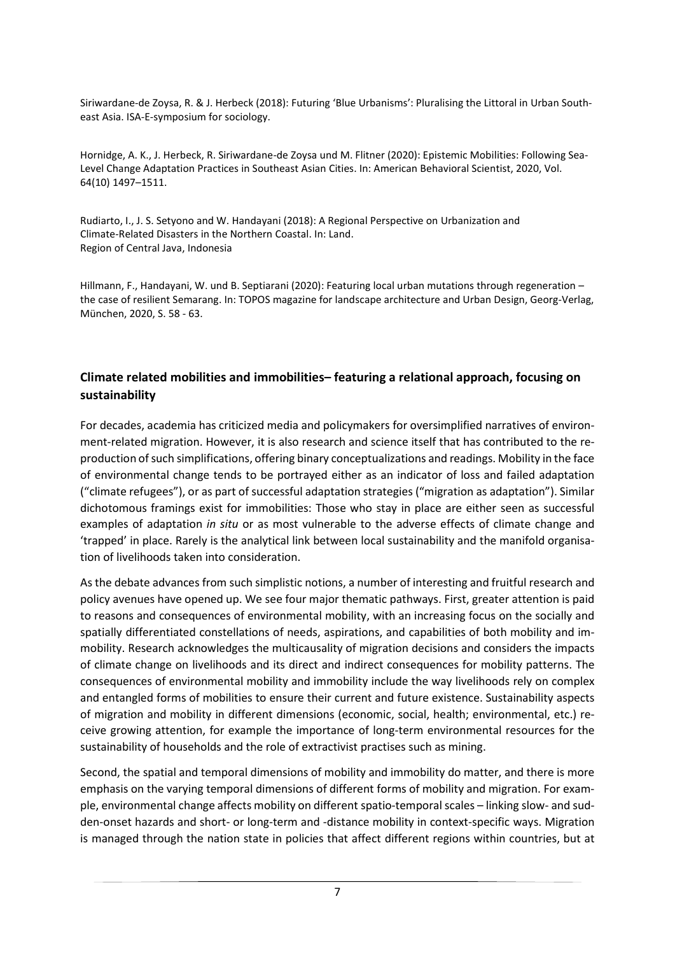Siriwardane-de Zoysa, R. & J. Herbeck (2018): Futuring 'Blue Urbanisms': Pluralising the Littoral in Urban Southeast Asia. ISA-E-symposium for sociology.

Hornidge, A. K., J. Herbeck, R. Siriwardane-de Zoysa und M. Flitner (2020): Epistemic Mobilities: Following Sea-Level Change Adaptation Practices in Southeast Asian Cities. In: American Behavioral Scientist, 2020, Vol. 64(10) 1497–1511.

Rudiarto, I., J. S. Setyono and W. Handayani (2018): A Regional Perspective on Urbanization and Climate-Related Disasters in the Northern Coastal. In: Land. Region of Central Java, Indonesia

Hillmann, F., Handayani, W. und B. Septiarani (2020): Featuring local urban mutations through regeneration – the case of resilient Semarang. In: TOPOS magazine for landscape architecture and Urban Design, Georg-Verlag, München, 2020, S. 58 - 63.

# Climate related mobilities and immobilities– featuring a relational approach, focusing on sustainability

For decades, academia has criticized media and policymakers for oversimplified narratives of environment-related migration. However, it is also research and science itself that has contributed to the reproduction of such simplifications, offering binary conceptualizations and readings. Mobility in the face of environmental change tends to be portrayed either as an indicator of loss and failed adaptation ("climate refugees"), or as part of successful adaptation strategies ("migration as adaptation"). Similar dichotomous framings exist for immobilities: Those who stay in place are either seen as successful examples of adaptation in situ or as most vulnerable to the adverse effects of climate change and 'trapped' in place. Rarely is the analytical link between local sustainability and the manifold organisation of livelihoods taken into consideration.

As the debate advances from such simplistic notions, a number of interesting and fruitful research and policy avenues have opened up. We see four major thematic pathways. First, greater attention is paid to reasons and consequences of environmental mobility, with an increasing focus on the socially and spatially differentiated constellations of needs, aspirations, and capabilities of both mobility and immobility. Research acknowledges the multicausality of migration decisions and considers the impacts of climate change on livelihoods and its direct and indirect consequences for mobility patterns. The consequences of environmental mobility and immobility include the way livelihoods rely on complex and entangled forms of mobilities to ensure their current and future existence. Sustainability aspects of migration and mobility in different dimensions (economic, social, health; environmental, etc.) receive growing attention, for example the importance of long-term environmental resources for the sustainability of households and the role of extractivist practises such as mining.

Second, the spatial and temporal dimensions of mobility and immobility do matter, and there is more emphasis on the varying temporal dimensions of different forms of mobility and migration. For example, environmental change affects mobility on different spatio-temporal scales – linking slow- and sudden-onset hazards and short- or long-term and -distance mobility in context-specific ways. Migration is managed through the nation state in policies that affect different regions within countries, but at